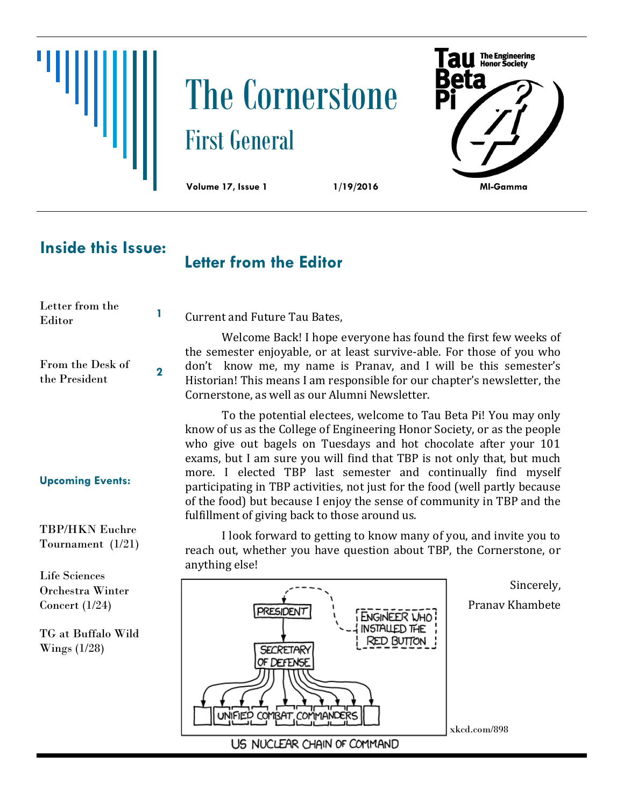# The Cornerstone First General



# **Inside this Issue:**

## **Letter from the Editor**

Current and Future Tau Bates,

| пена пошти<br>Editor              |  |
|-----------------------------------|--|
| From the Desk of<br>the President |  |

Letter from the

**Upcoming Events:**

TBP/HKN Euchre Tournament (1/21)

Life Sciences Orchestra Winter Concert (1/24)

TG at Buffalo Wild Wings (1/28)

Welcome Back! I hope everyone has found the first few weeks of the semester enjoyable, or at least survive-able. For those of you who don't know me, my name is Pranav, and I will be this semester's Historian! This means I am responsible for our chapter's newsletter, the Cornerstone, as well as our Alumni Newsletter.

To the potential electees, welcome to Tau Beta Pi! You may only know of us as the College of Engineering Honor Society, or as the people who give out bagels on Tuesdays and hot chocolate after your 101 exams, but I am sure you will find that TBP is not only that, but much more. I elected TBP last semester and continually find myself participating in TBP activities, not just for the food (well partly because of the food) but because I enjoy the sense of community in TBP and the fulfillment of giving back to those around us.

I look forward to getting to know many of you, and invite you to reach out, whether you have question about TBP, the Cornerstone, or anything else!

> Sincerely, Pranav Khambete



xkcd.com/898